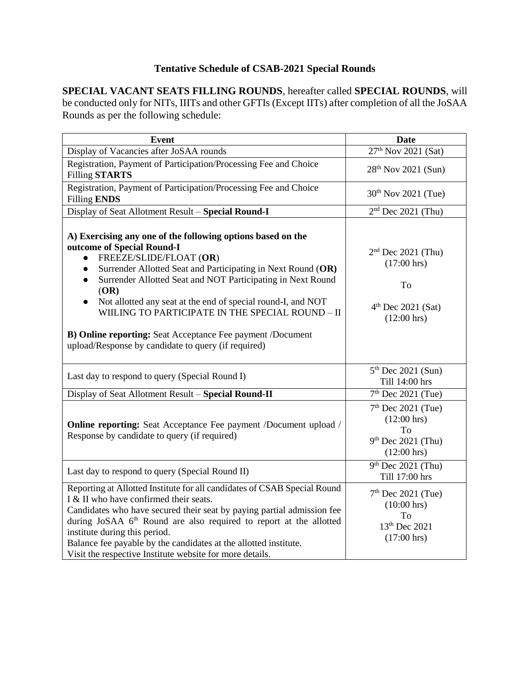## **Tentative Schedule of CSAB-2021 Special Rounds**

**SPECIAL VACANT SEATS FILLING ROUNDS**, hereafter called **SPECIAL ROUNDS**, will be conducted only for NITs, IIITs and other GFTIs (Except IITs) after completion of all the JoSAA Rounds as per the following schedule:

| <b>Event</b>                                                                                                                                                                                                                                                                                                                                                                                                                                                                                                      | <b>Date</b>                                                                                          |
|-------------------------------------------------------------------------------------------------------------------------------------------------------------------------------------------------------------------------------------------------------------------------------------------------------------------------------------------------------------------------------------------------------------------------------------------------------------------------------------------------------------------|------------------------------------------------------------------------------------------------------|
| Display of Vacancies after JoSAA rounds                                                                                                                                                                                                                                                                                                                                                                                                                                                                           | 27 <sup>th</sup> Nov 2021 (Sat)                                                                      |
| Registration, Payment of Participation/Processing Fee and Choice<br><b>Filling STARTS</b>                                                                                                                                                                                                                                                                                                                                                                                                                         | 28 <sup>th</sup> Nov 2021 (Sun)                                                                      |
| Registration, Payment of Participation/Processing Fee and Choice<br><b>Filling ENDS</b>                                                                                                                                                                                                                                                                                                                                                                                                                           | 30 <sup>th</sup> Nov 2021 (Tue)                                                                      |
| Display of Seat Allotment Result - Special Round-I                                                                                                                                                                                                                                                                                                                                                                                                                                                                | $2nd$ Dec 2021 (Thu)                                                                                 |
| A) Exercising any one of the following options based on the<br>outcome of Special Round-I<br>FREEZE/SLIDE/FLOAT (OR)<br>Surrender Allotted Seat and Participating in Next Round (OR)<br>Surrender Allotted Seat and NOT Participating in Next Round<br>(OR)<br>Not allotted any seat at the end of special round-I, and NOT<br>$\bullet$<br>WIILING TO PARTICIPATE IN THE SPECIAL ROUND - II<br>B) Online reporting: Seat Acceptance Fee payment /Document<br>upload/Response by candidate to query (if required) | $2nd$ Dec 2021 (Thu)<br>$(17:00 \text{ hrs})$<br>To<br>$4th$ Dec 2021 (Sat)<br>$(12:00 \text{ hrs})$ |
| Last day to respond to query (Special Round I)                                                                                                                                                                                                                                                                                                                                                                                                                                                                    | $5th$ Dec 2021 (Sun)<br>Till 14:00 hrs                                                               |
| Display of Seat Allotment Result - Special Round-II                                                                                                                                                                                                                                                                                                                                                                                                                                                               | $7th$ Dec 2021 (Tue)                                                                                 |
| Online reporting: Seat Acceptance Fee payment /Document upload /<br>Response by candidate to query (if required)                                                                                                                                                                                                                                                                                                                                                                                                  | $7th$ Dec 2021 (Tue)<br>$(12:00 \text{ hrs})$<br>To<br>$9th$ Dec 2021 (Thu)<br>$(12:00 \text{ hrs})$ |
| Last day to respond to query (Special Round II)                                                                                                                                                                                                                                                                                                                                                                                                                                                                   | $9th$ Dec 2021 (Thu)<br>Till 17:00 hrs                                                               |
| Reporting at Allotted Institute for all candidates of CSAB Special Round<br>I & II who have confirmed their seats.<br>Candidates who have secured their seat by paying partial admission fee<br>during JoSAA 6 <sup>th</sup> Round are also required to report at the allotted<br>institute during this period.<br>Balance fee payable by the candidates at the allotted institute.<br>Visit the respective Institute website for more details.                                                                   | $7th$ Dec 2021 (Tue)<br>$(10:00 \text{ hrs})$<br>To<br>13th Dec 2021<br>$(17:00 \text{ hrs})$        |